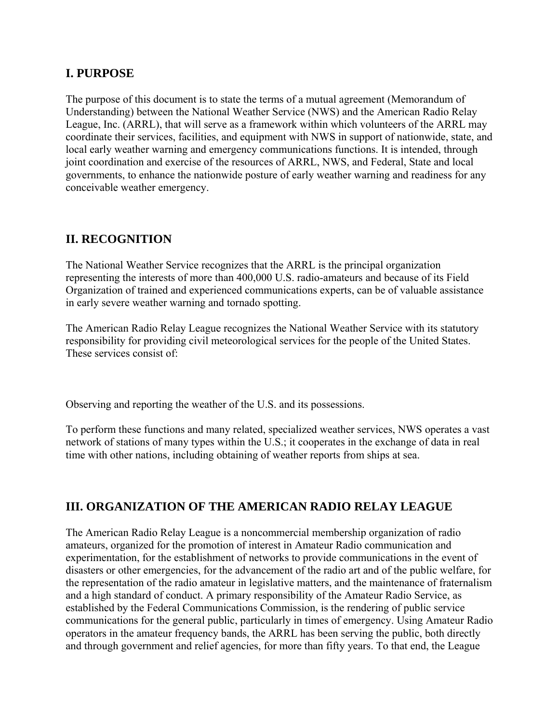### **I. PURPOSE**

The purpose of this document is to state the terms of a mutual agreement (Memorandum of Understanding) between the National Weather Service (NWS) and the American Radio Relay League, Inc. (ARRL), that will serve as a framework within which volunteers of the ARRL may coordinate their services, facilities, and equipment with NWS in support of nationwide, state, and local early weather warning and emergency communications functions. It is intended, through joint coordination and exercise of the resources of ARRL, NWS, and Federal, State and local governments, to enhance the nationwide posture of early weather warning and readiness for any conceivable weather emergency.

## **II. RECOGNITION**

The National Weather Service recognizes that the ARRL is the principal organization representing the interests of more than 400,000 U.S. radio-amateurs and because of its Field Organization of trained and experienced communications experts, can be of valuable assistance in early severe weather warning and tornado spotting.

The American Radio Relay League recognizes the National Weather Service with its statutory responsibility for providing civil meteorological services for the people of the United States. These services consist of:

Observing and reporting the weather of the U.S. and its possessions.

To perform these functions and many related, specialized weather services, NWS operates a vast network of stations of many types within the U.S.; it cooperates in the exchange of data in real time with other nations, including obtaining of weather reports from ships at sea.

# **III. ORGANIZATION OF THE AMERICAN RADIO RELAY LEAGUE**

The American Radio Relay League is a noncommercial membership organization of radio amateurs, organized for the promotion of interest in Amateur Radio communication and experimentation, for the establishment of networks to provide communications in the event of disasters or other emergencies, for the advancement of the radio art and of the public welfare, for the representation of the radio amateur in legislative matters, and the maintenance of fraternalism and a high standard of conduct. A primary responsibility of the Amateur Radio Service, as established by the Federal Communications Commission, is the rendering of public service communications for the general public, particularly in times of emergency. Using Amateur Radio operators in the amateur frequency bands, the ARRL has been serving the public, both directly and through government and relief agencies, for more than fifty years. To that end, the League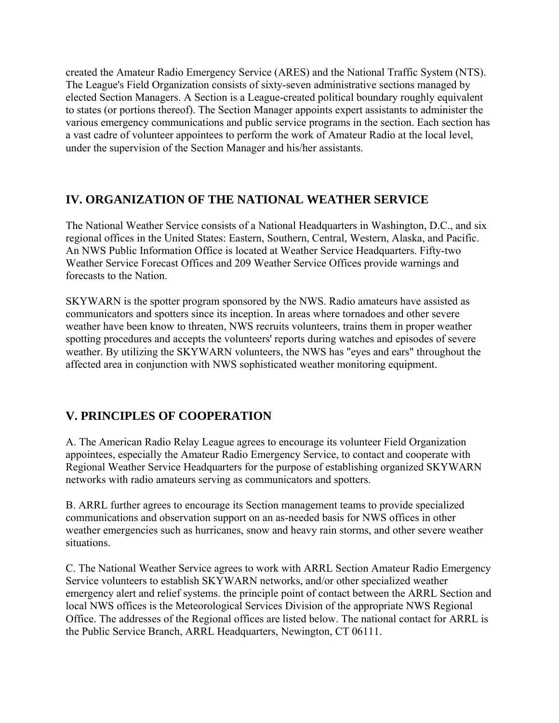created the Amateur Radio Emergency Service (ARES) and the National Traffic System (NTS). The League's Field Organization consists of sixty-seven administrative sections managed by elected Section Managers. A Section is a League-created political boundary roughly equivalent to states (or portions thereof). The Section Manager appoints expert assistants to administer the various emergency communications and public service programs in the section. Each section has a vast cadre of volunteer appointees to perform the work of Amateur Radio at the local level, under the supervision of the Section Manager and his/her assistants.

### **IV. ORGANIZATION OF THE NATIONAL WEATHER SERVICE**

The National Weather Service consists of a National Headquarters in Washington, D.C., and six regional offices in the United States: Eastern, Southern, Central, Western, Alaska, and Pacific. An NWS Public Information Office is located at Weather Service Headquarters. Fifty-two Weather Service Forecast Offices and 209 Weather Service Offices provide warnings and forecasts to the Nation.

SKYWARN is the spotter program sponsored by the NWS. Radio amateurs have assisted as communicators and spotters since its inception. In areas where tornadoes and other severe weather have been know to threaten, NWS recruits volunteers, trains them in proper weather spotting procedures and accepts the volunteers' reports during watches and episodes of severe weather. By utilizing the SKYWARN volunteers, the NWS has "eyes and ears" throughout the affected area in conjunction with NWS sophisticated weather monitoring equipment.

# **V. PRINCIPLES OF COOPERATION**

A. The American Radio Relay League agrees to encourage its volunteer Field Organization appointees, especially the Amateur Radio Emergency Service, to contact and cooperate with Regional Weather Service Headquarters for the purpose of establishing organized SKYWARN networks with radio amateurs serving as communicators and spotters.

B. ARRL further agrees to encourage its Section management teams to provide specialized communications and observation support on an as-needed basis for NWS offices in other weather emergencies such as hurricanes, snow and heavy rain storms, and other severe weather situations.

C. The National Weather Service agrees to work with ARRL Section Amateur Radio Emergency Service volunteers to establish SKYWARN networks, and/or other specialized weather emergency alert and relief systems. the principle point of contact between the ARRL Section and local NWS offices is the Meteorological Services Division of the appropriate NWS Regional Office. The addresses of the Regional offices are listed below. The national contact for ARRL is the Public Service Branch, ARRL Headquarters, Newington, CT 06111.